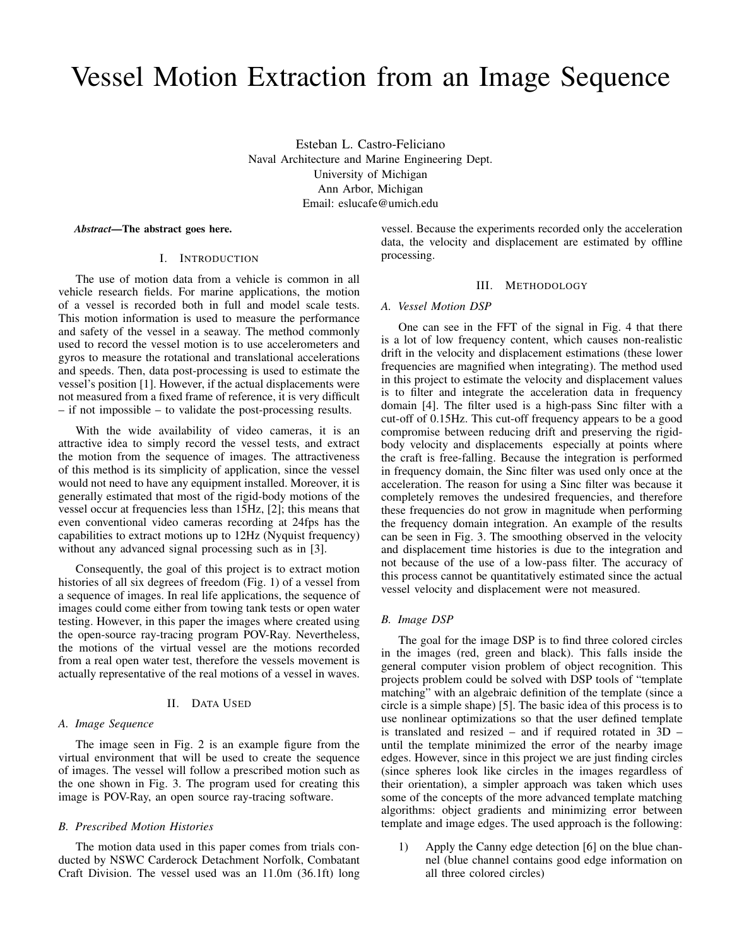# Vessel Motion Extraction from an Image Sequence

Esteban L. Castro-Feliciano Naval Architecture and Marine Engineering Dept. University of Michigan Ann Arbor, Michigan Email: eslucafe@umich.edu

*Abstract*—The abstract goes here.

#### I. INTRODUCTION

The use of motion data from a vehicle is common in all vehicle research fields. For marine applications, the motion of a vessel is recorded both in full and model scale tests. This motion information is used to measure the performance and safety of the vessel in a seaway. The method commonly used to record the vessel motion is to use accelerometers and gyros to measure the rotational and translational accelerations and speeds. Then, data post-processing is used to estimate the vessel's position [1]. However, if the actual displacements were not measured from a fixed frame of reference, it is very difficult – if not impossible – to validate the post-processing results.

With the wide availability of video cameras, it is an attractive idea to simply record the vessel tests, and extract the motion from the sequence of images. The attractiveness of this method is its simplicity of application, since the vessel would not need to have any equipment installed. Moreover, it is generally estimated that most of the rigid-body motions of the vessel occur at frequencies less than 15Hz, [2]; this means that even conventional video cameras recording at 24fps has the capabilities to extract motions up to 12Hz (Nyquist frequency) without any advanced signal processing such as in [3].

Consequently, the goal of this project is to extract motion histories of all six degrees of freedom (Fig. 1) of a vessel from a sequence of images. In real life applications, the sequence of images could come either from towing tank tests or open water testing. However, in this paper the images where created using the open-source ray-tracing program POV-Ray. Nevertheless, the motions of the virtual vessel are the motions recorded from a real open water test, therefore the vessels movement is actually representative of the real motions of a vessel in waves.

#### II. DATA USED

#### *A. Image Sequence*

The image seen in Fig. 2 is an example figure from the virtual environment that will be used to create the sequence of images. The vessel will follow a prescribed motion such as the one shown in Fig. 3. The program used for creating this image is POV-Ray, an open source ray-tracing software.

# *B. Prescribed Motion Histories*

The motion data used in this paper comes from trials conducted by NSWC Carderock Detachment Norfolk, Combatant Craft Division. The vessel used was an 11.0m (36.1ft) long vessel. Because the experiments recorded only the acceleration data, the velocity and displacement are estimated by offline processing.

# III. METHODOLOGY

#### *A. Vessel Motion DSP*

One can see in the FFT of the signal in Fig. 4 that there is a lot of low frequency content, which causes non-realistic drift in the velocity and displacement estimations (these lower frequencies are magnified when integrating). The method used in this project to estimate the velocity and displacement values is to filter and integrate the acceleration data in frequency domain [4]. The filter used is a high-pass Sinc filter with a cut-off of 0.15Hz. This cut-off frequency appears to be a good compromise between reducing drift and preserving the rigidbody velocity and displacements especially at points where the craft is free-falling. Because the integration is performed in frequency domain, the Sinc filter was used only once at the acceleration. The reason for using a Sinc filter was because it completely removes the undesired frequencies, and therefore these frequencies do not grow in magnitude when performing the frequency domain integration. An example of the results can be seen in Fig. 3. The smoothing observed in the velocity and displacement time histories is due to the integration and not because of the use of a low-pass filter. The accuracy of this process cannot be quantitatively estimated since the actual vessel velocity and displacement were not measured.

# *B. Image DSP*

The goal for the image DSP is to find three colored circles in the images (red, green and black). This falls inside the general computer vision problem of object recognition. This projects problem could be solved with DSP tools of "template matching" with an algebraic definition of the template (since a circle is a simple shape) [5]. The basic idea of this process is to use nonlinear optimizations so that the user defined template is translated and resized – and if required rotated in 3D – until the template minimized the error of the nearby image edges. However, since in this project we are just finding circles (since spheres look like circles in the images regardless of their orientation), a simpler approach was taken which uses some of the concepts of the more advanced template matching algorithms: object gradients and minimizing error between template and image edges. The used approach is the following:

1) Apply the Canny edge detection [6] on the blue channel (blue channel contains good edge information on all three colored circles)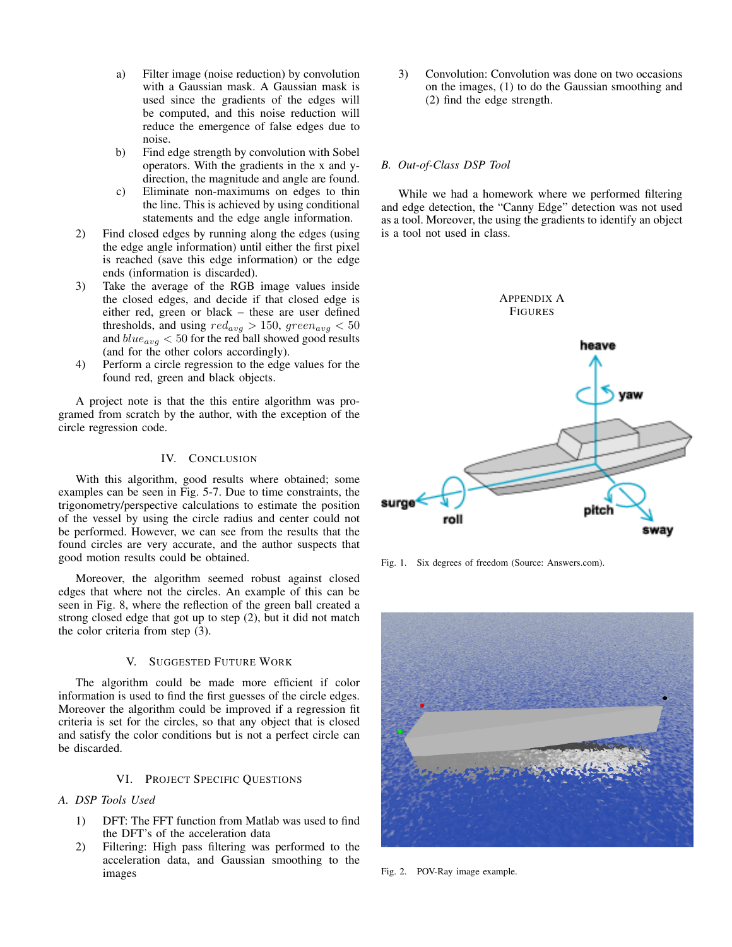- a) Filter image (noise reduction) by convolution with a Gaussian mask. A Gaussian mask is used since the gradients of the edges will be computed, and this noise reduction will reduce the emergence of false edges due to noise.
- b) Find edge strength by convolution with Sobel operators. With the gradients in the x and ydirection, the magnitude and angle are found.
- c) Eliminate non-maximums on edges to thin the line. This is achieved by using conditional statements and the edge angle information.
- 2) Find closed edges by running along the edges (using the edge angle information) until either the first pixel is reached (save this edge information) or the edge ends (information is discarded).
- 3) Take the average of the RGB image values inside the closed edges, and decide if that closed edge is either red, green or black – these are user defined thresholds, and using  $red_{avg} > 150$ ,  $green_{avg} < 50$ and  $blue_{avg}$  < 50 for the red ball showed good results (and for the other colors accordingly).
- 4) Perform a circle regression to the edge values for the found red, green and black objects.

A project note is that the this entire algorithm was programed from scratch by the author, with the exception of the circle regression code.

# IV. CONCLUSION

With this algorithm, good results where obtained; some examples can be seen in Fig. 5-7. Due to time constraints, the trigonometry/perspective calculations to estimate the position of the vessel by using the circle radius and center could not be performed. However, we can see from the results that the found circles are very accurate, and the author suspects that good motion results could be obtained.

Moreover, the algorithm seemed robust against closed edges that where not the circles. An example of this can be seen in Fig. 8, where the reflection of the green ball created a strong closed edge that got up to step (2), but it did not match the color criteria from step (3).

#### V. SUGGESTED FUTURE WORK

The algorithm could be made more efficient if color information is used to find the first guesses of the circle edges. Moreover the algorithm could be improved if a regression fit criteria is set for the circles, so that any object that is closed and satisfy the color conditions but is not a perfect circle can be discarded.

### VI. PROJECT SPECIFIC QUESTIONS

# *A. DSP Tools Used*

- 1) DFT: The FFT function from Matlab was used to find the DFT's of the acceleration data
- 2) Filtering: High pass filtering was performed to the acceleration data, and Gaussian smoothing to the images

3) Convolution: Convolution was done on two occasions on the images, (1) to do the Gaussian smoothing and (2) find the edge strength.

# *B. Out-of-Class DSP Tool*

While we had a homework where we performed filtering and edge detection, the "Canny Edge" detection was not used as a tool. Moreover, the using the gradients to identify an object is a tool not used in class.



Fig. 1. Six degrees of freedom (Source: Answers.com).



Fig. 2. POV-Ray image example.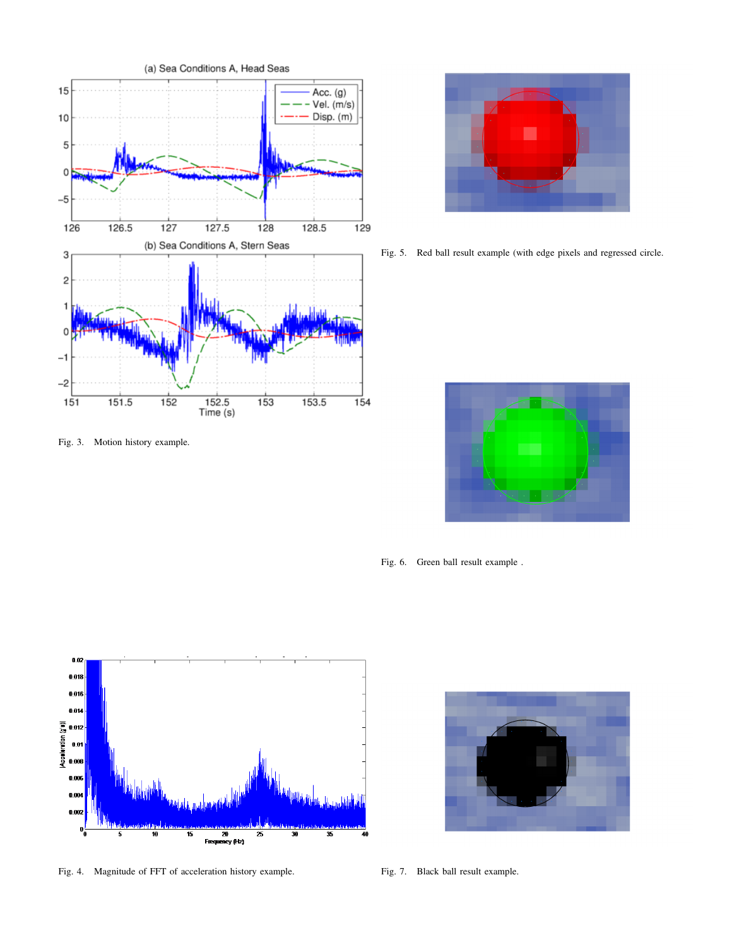

Fig. 3. Motion history example.

Fig. 5. Red ball result example (with edge pixels and regressed circle.

Fig. 6. Green ball result example .



Fig. 4. Magnitude of FFT of acceleration history example.



Fig. 7. Black ball result example.